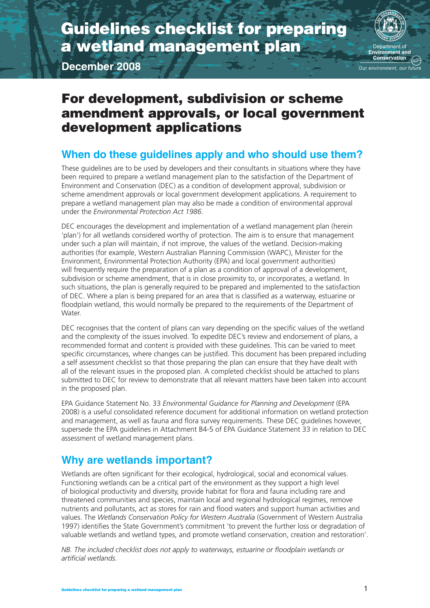# Guidelines checklist for preparing a wetland management plan

**December 2008**



**Our environment, our future** 

# For development, subdivision or scheme amendment approvals, or local government development applications

# **When do these guidelines apply and who should use them?**

These guidelines are to be used by developers and their consultants in situations where they have been required to prepare a wetland management plan to the satisfaction of the Department of Environment and Conservation (DEC) as a condition of development approval, subdivision or scheme amendment approvals or local government development applications. A requirement to prepare a wetland management plan may also be made a condition of environmental approval under the *Environmental Protection Act 1986*.

DEC encourages the development and implementation of a wetland management plan (herein 'plan') for all wetlands considered worthy of protection. The aim is to ensure that management under such a plan will maintain, if not improve, the values of the wetland. Decision-making authorities (for example, Western Australian Planning Commission (WAPC), Minister for the Environment, Environmental Protection Authority (EPA) and local government authorities) will frequently require the preparation of a plan as a condition of approval of a development, subdivision or scheme amendment, that is in close proximity to, or incorporates, a wetland. In such situations, the plan is generally required to be prepared and implemented to the satisfaction of DEC. Where a plan is being prepared for an area that is classified as a waterway, estuarine or floodplain wetland, this would normally be prepared to the requirements of the Department of Water.

DEC recognises that the content of plans can vary depending on the specific values of the wetland and the complexity of the issues involved. To expedite DEC's review and endorsement of plans, a recommended format and content is provided with these guidelines. This can be varied to meet specific circumstances, where changes can be justified. This document has been prepared including a self assessment checklist so that those preparing the plan can ensure that they have dealt with all of the relevant issues in the proposed plan. A completed checklist should be attached to plans submitted to DEC for review to demonstrate that all relevant matters have been taken into account in the proposed plan.

EPA Guidance Statement No. 33 *Environmental Guidance for Planning and Development* (EPA 2008) is a useful consolidated reference document for additional information on wetland protection and management, as well as fauna and flora survey requirements. These DEC guidelines however, supersede the EPA guidelines in Attachment B4-5 of EPA Guidance Statement 33 in relation to DEC assessment of wetland management plans.

# **Why are wetlands important?**

Wetlands are often significant for their ecological, hydrological, social and economical values. Functioning wetlands can be a critical part of the environment as they support a high level of biological productivity and diversity, provide habitat for flora and fauna including rare and threatened communities and species, maintain local and regional hydrological regimes, remove nutrients and pollutants, act as stores for rain and flood waters and support human activities and values. The *Wetlands Conservation Policy for Western Australia* (Government of Western Australia 1997) identifies the State Government's commitment 'to prevent the further loss or degradation of valuable wetlands and wetland types, and promote wetland conservation, creation and restoration'.

*NB. The included checklist does not apply to waterways, estuarine or floodplain wetlands or artificial wetlands.*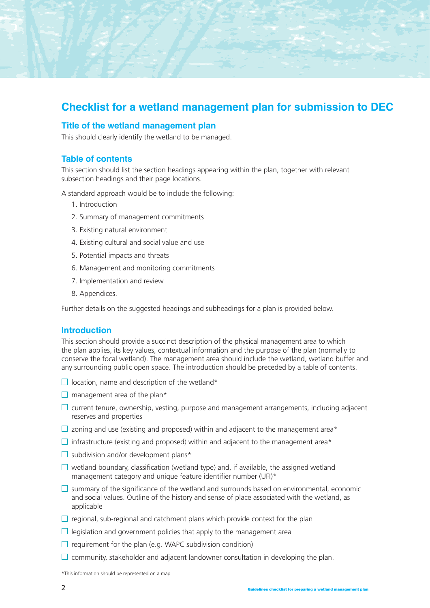# **Checklist for a wetland management plan for submission to DEC**

# **Title of the wetland management plan**

This should clearly identify the wetland to be managed.

### **Table of contents**

This section should list the section headings appearing within the plan, together with relevant subsection headings and their page locations.

A standard approach would be to include the following:

- 1. Introduction
- 2. Summary of management commitments
- 3. Existing natural environment
- 4. Existing cultural and social value and use
- 5. Potential impacts and threats
- 6. Management and monitoring commitments
- 7. Implementation and review
- 8. Appendices.

Further details on the suggested headings and subheadings for a plan is provided below.

### **Introduction**

This section should provide a succinct description of the physical management area to which the plan applies, its key values, contextual information and the purpose of the plan (normally to conserve the focal wetland). The management area should include the wetland, wetland buffer and any surrounding public open space. The introduction should be preceded by a table of contents.

- $\Box$  location, name and description of the wetland\*
- $\Box$  management area of the plan\*
- $\Box$  current tenure, ownership, vesting, purpose and management arrangements, including adjacent reserves and properties
- $\Box$  zoning and use (existing and proposed) within and adjacent to the management area\*
- $\Box$  infrastructure (existing and proposed) within and adjacent to the management area\*
- $\Box$  subdivision and/or development plans\*
- $\Box$  wetland boundary, classification (wetland type) and, if available, the assigned wetland management category and unique feature identifier number (UFI)\*
- $\Box$  summary of the significance of the wetland and surrounds based on environmental, economic and social values. Outline of the history and sense of place associated with the wetland, as applicable
- $\Box$  regional, sub-regional and catchment plans which provide context for the plan
- $\Box$  legislation and government policies that apply to the management area
- $\Box$  requirement for the plan (e.g. WAPC subdivision condition)
- $\Box$  community, stakeholder and adjacent landowner consultation in developing the plan.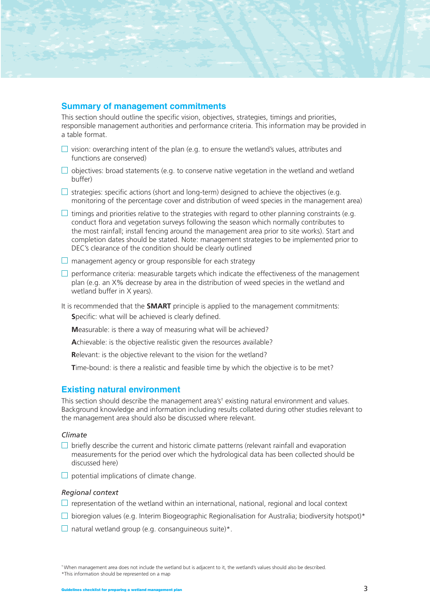# **Summary of management commitments**

This section should outline the specific vision, objectives, strategies, timings and priorities, responsible management authorities and performance criteria. This information may be provided in a table format.

- $\Box$  vision: overarching intent of the plan (e.g. to ensure the wetland's values, attributes and functions are conserved)
- $\Box$  objectives: broad statements (e.g. to conserve native vegetation in the wetland and wetland buffer)
- $\square$  strategies: specific actions (short and long-term) designed to achieve the objectives (e.g. monitoring of the percentage cover and distribution of weed species in the management area)
- $\Box$  timings and priorities relative to the strategies with regard to other planning constraints (e.g. conduct flora and vegetation surveys following the season which normally contributes to the most rainfall; install fencing around the management area prior to site works). Start and completion dates should be stated. Note: management strategies to be implemented prior to DEC's clearance of the condition should be clearly outlined
- $\Box$  management agency or group responsible for each strategy
- $\Box$  performance criteria: measurable targets which indicate the effectiveness of the management plan (e.g. an X% decrease by area in the distribution of weed species in the wetland and wetland buffer in X years).

It is recommended that the **SMART** principle is applied to the management commitments:

**S**pecific: what will be achieved is clearly defined.

**M**easurable: is there a way of measuring what will be achieved?

**A**chievable: is the objective realistic given the resources available?

**Relevant:** is the objective relevant to the vision for the wetland?

**T**ime-bound: is there a realistic and feasible time by which the objective is to be met?

# **Existing natural environment**

This section should describe the management area's<sup>†</sup> existing natural environment and values. Background knowledge and information including results collated during other studies relevant to the management area should also be discussed where relevant.

#### *Climate*

- $\Box$  briefly describe the current and historic climate patterns (relevant rainfall and evaporation measurements for the period over which the hydrological data has been collected should be discussed here)
- $\Box$  potential implications of climate change.

#### *Regional context*

- $\Box$  representation of the wetland within an international, national, regional and local context
- $\square$  bioregion values (e.g. Interim Biogeographic Regionalisation for Australia; biodiversity hotspot)\*
- $\Box$  natural wetland group (e.g. consanguineous suite)\*.

† When management area does not include the wetland but is adjacent to it, the wetland's values should also be described. \*This information should be represented on a map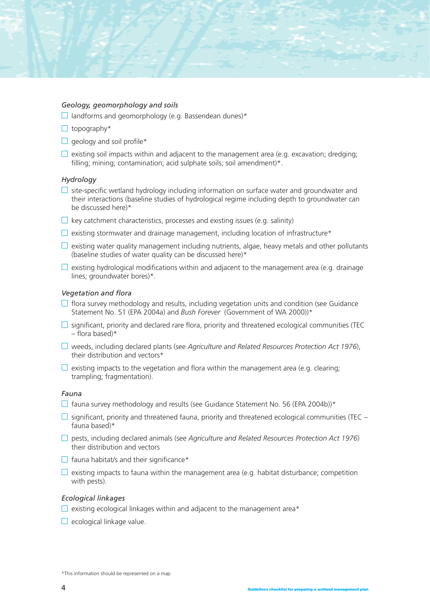#### *Geology, geomorphology and soils*

- $\Box$  landforms and geomorphology (e.g. Bassendean dunes)\*
- $\Box$  topography\*
- $\Box$  geology and soil profile\*
- $\Box$  existing soil impacts within and adjacent to the management area (e.g. excavation; dredging; filling; mining; contamination; acid sulphate soils; soil amendment)\*.

#### *Hydrology*

- $\Box$  site-specific wetland hydrology including information on surface water and groundwater and their interactions (baseline studies of hydrological regime including depth to groundwater can be discussed here)\*
- $\Box$  key catchment characteristics, processes and existing issues (e.g. salinity)
- $\Box$  existing stormwater and drainage management, including location of infrastructure\*
- $\Box$  existing water quality management including nutrients, algae, heavy metals and other pollutants (baseline studies of water quality can be discussed here)\*
- $\Box$  existing hydrological modifications within and adjacent to the management area (e.g. drainage lines; groundwater bores)\*.

#### *Vegetation and flora*

- $\Box$  flora survey methodology and results, including vegetation units and condition (see Guidance Statement No. 51 (EPA 2004a) and *Bush Forever* (Government of WA 2000))\*
- $\square$  significant, priority and declared rare flora, priority and threatened ecological communities (TEC  $-$  flora based)\*
- weeds, including declared plants (see *Agriculture and Related Resources Protection Act 1976*), their distribution and vectors\*
- $\Box$  existing impacts to the vegetation and flora within the management area (e.g. clearing; trampling; fragmentation).

#### *Fauna*

- $\Box$  fauna survey methodology and results (see Guidance Statement No. 56 (EPA 2004b))\*
- $\square$  significant, priority and threatened fauna, priority and threatened ecological communities (TEC fauna based)\*
- pests, including declared animals (see *Agriculture and Related Resources Protection Act 1976*) their distribution and vectors
- $\Box$  fauna habitat/s and their significance\*
- $\square$  existing impacts to fauna within the management area (e.g. habitat disturbance; competition with pests).

#### *Ecological linkages*

- $\square$  existing ecological linkages within and adjacent to the management area\*
- $\Box$  ecological linkage value.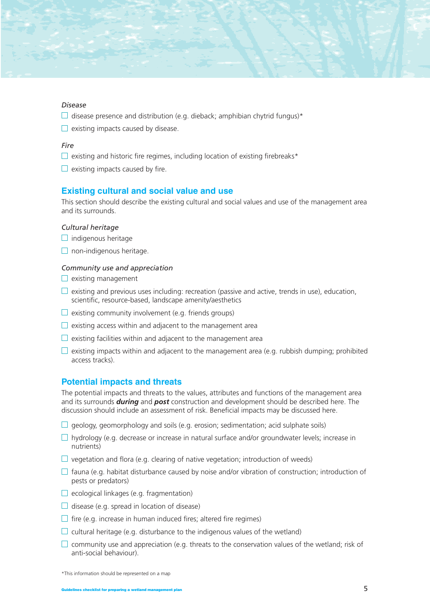#### *Disease*

- $\Box$  disease presence and distribution (e.g. dieback; amphibian chytrid fungus)\*
- $\Box$  existing impacts caused by disease.

#### *Fire*

- $\Box$  existing and historic fire regimes, including location of existing firebreaks\*
- $\Box$  existing impacts caused by fire.

#### **Existing cultural and social value and use**

This section should describe the existing cultural and social values and use of the management area and its surrounds.

#### *Cultural heritage*

- $\Box$  indigenous heritage
- $\Box$  non-indigenous heritage.

#### *Community use and appreciation*

- $\Box$  existing management
- $\Box$  existing and previous uses including: recreation (passive and active, trends in use), education, scientific, resource-based, landscape amenity/aesthetics
- $\Box$  existing community involvement (e.g. friends groups)
- $\Box$  existing access within and adjacent to the management area
- $\Box$  existing facilities within and adjacent to the management area
- $\Box$  existing impacts within and adjacent to the management area (e.g. rubbish dumping; prohibited access tracks).

#### **Potential impacts and threats**

The potential impacts and threats to the values, attributes and functions of the management area and its surrounds *during* and *post* construction and development should be described here. The discussion should include an assessment of risk. Beneficial impacts may be discussed here.

- $\Box$  geology, geomorphology and soils (e.g. erosion; sedimentation; acid sulphate soils)
- $\Box$  hydrology (e.g. decrease or increase in natural surface and/or groundwater levels; increase in nutrients)
- $\Box$  vegetation and flora (e.g. clearing of native vegetation; introduction of weeds)
- $\Box$  fauna (e.g. habitat disturbance caused by noise and/or vibration of construction; introduction of pests or predators)
- $\Box$  ecological linkages (e.g. fragmentation)
- $\Box$  disease (e.g. spread in location of disease)
- $\Box$  fire (e.g. increase in human induced fires; altered fire regimes)
- $\Box$  cultural heritage (e.g. disturbance to the indigenous values of the wetland)
- $\Box$  community use and appreciation (e.g. threats to the conservation values of the wetland; risk of anti-social behaviour).

<sup>\*</sup>This information should be represented on a map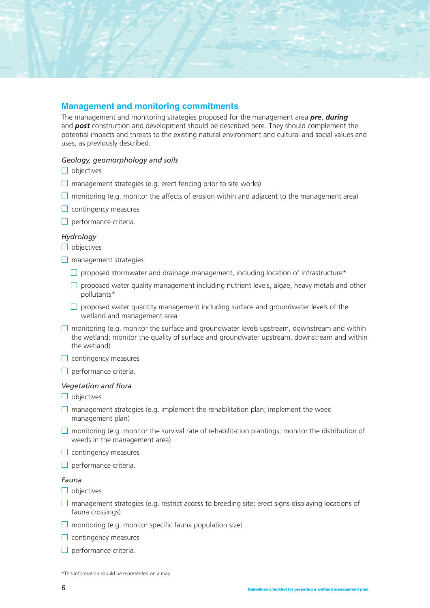# **Management and monitoring commitments**

The management and monitoring strategies proposed for the management area *pre*, *during* and *post* construction and development should be described here. They should complement the potential impacts and threats to the existing natural environment and cultural and social values and uses, as previously described.

### *Geology, geomorphology and soils*

- $\Box$  objectives
- $\Box$  management strategies (e.g. erect fencing prior to site works)
- $\Box$  monitoring (e.g. monitor the affects of erosion within and adiacent to the management area)
- $\Box$  contingency measures
- $\Box$  performance criteria.

#### *Hydrology*

- $\Box$  objectives
- $\Box$  management strategies
	- $\square$  proposed stormwater and drainage management, including location of infrastructure\*
	- $\square$  proposed water quality management including nutrient levels, algae, heavy metals and other pollutants\*
	- $\Box$  proposed water quantity management including surface and groundwater levels of the wetland and management area
- $\Box$  monitoring (e.g. monitor the surface and groundwater levels upstream, downstream and within the wetland; monitor the quality of surface and groundwater upstream, downstream and within the wetland)
- $\Box$  contingency measures
- $\Box$  performance criteria.

#### *Vegetation and flora*

- $\Box$  objectives
- $\Box$  management strategies (e.g. implement the rehabilitation plan; implement the weed management plan)
- $\Box$  monitoring (e.g. monitor the survival rate of rehabilitation plantings; monitor the distribution of weeds in the management area)
- $\Box$  contingency measures
- $\Box$  performance criteria.

#### *Fauna*

- $\Box$  objectives
- $\Box$  management strategies (e.g. restrict access to breeding site; erect signs displaying locations of fauna crossings)
- $\Box$  monitoring (e.g. monitor specific fauna population size)
- $\Box$  contingency measures
- $\Box$  performance criteria.

\*This information should be represented on a map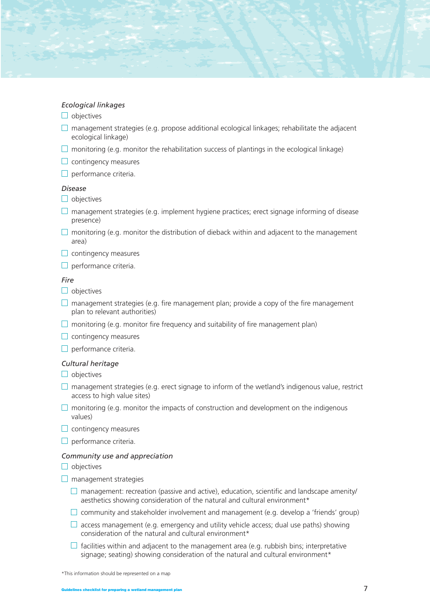#### *Ecological linkages*

- $\Box$  objectives
- $\Box$  management strategies (e.g. propose additional ecological linkages; rehabilitate the adjacent ecological linkage)
- $\Box$  monitoring (e.g. monitor the rehabilitation success of plantings in the ecological linkage)
- $\Box$  contingency measures
- $\Box$  performance criteria.

#### *Disease*

- $\Box$  objectives
- $\Box$  management strategies (e.g. implement hygiene practices; erect signage informing of disease presence)
- $\Box$  monitoring (e.g. monitor the distribution of dieback within and adjacent to the management area)
- $\Box$  contingency measures
- $\Box$  performance criteria.

#### *Fire*

- $\Box$  objectives
- $\Box$  management strategies (e.g. fire management plan; provide a copy of the fire management plan to relevant authorities)
- $\Box$  monitoring (e.g. monitor fire frequency and suitability of fire management plan)
- $\Box$  contingency measures
- $\Box$  performance criteria.

#### *Cultural heritage*

- $\Box$  objectives
- $\Box$  management strategies (e.g. erect signage to inform of the wetland's indigenous value, restrict access to high value sites)
- $\Box$  monitoring (e.g. monitor the impacts of construction and development on the indigenous values)
- $\Box$  contingency measures
- $\Box$  performance criteria.

#### *Community use and appreciation*

- $\Box$  objectives
- $\Box$  management strategies
	- $\Box$  management: recreation (passive and active), education, scientific and landscape amenity/ aesthetics showing consideration of the natural and cultural environment\*
	- $\square$  community and stakeholder involvement and management (e.g. develop a 'friends' group)
	- $\Box$  access management (e.g. emergency and utility vehicle access; dual use paths) showing consideration of the natural and cultural environment\*
	- $\Box$  facilities within and adjacent to the management area (e.g. rubbish bins; interpretative signage; seating) showing consideration of the natural and cultural environment\*

<sup>\*</sup>This information should be represented on a map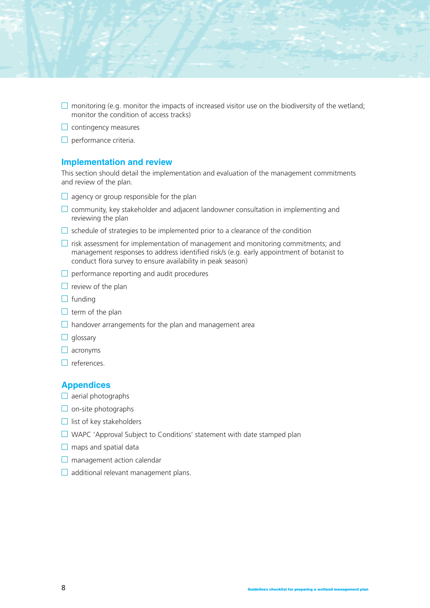- $\Box$  monitoring (e.g. monitor the impacts of increased visitor use on the biodiversity of the wetland; monitor the condition of access tracks)
- $\Box$  contingency measures
- $\Box$  performance criteria.

### **Implementation and review**

This section should detail the implementation and evaluation of the management commitments and review of the plan.

- $\Box$  agency or group responsible for the plan
- $\Box$  community, key stakeholder and adjacent landowner consultation in implementing and reviewing the plan
- $\Box$  schedule of strategies to be implemented prior to a clearance of the condition
- $\Box$  risk assessment for implementation of management and monitoring commitments; and management responses to address identified risk/s (e.g. early appointment of botanist to conduct flora survey to ensure availability in peak season)
- $\Box$  performance reporting and audit procedures
- $\Box$  review of the plan
- $\Box$  funding
- $\Box$  term of the plan
- $\Box$  handover arrangements for the plan and management area
- $\Box$  glossary
- $\Box$  acronyms
- $\Box$  references.

#### **Appendices**

- $\Box$  aerial photographs
- $\Box$  on-site photographs
- $\Box$  list of key stakeholders
- □ WAPC 'Approval Subject to Conditions' statement with date stamped plan
- $\Box$  maps and spatial data
- $\Box$  management action calendar
- $\Box$  additional relevant management plans.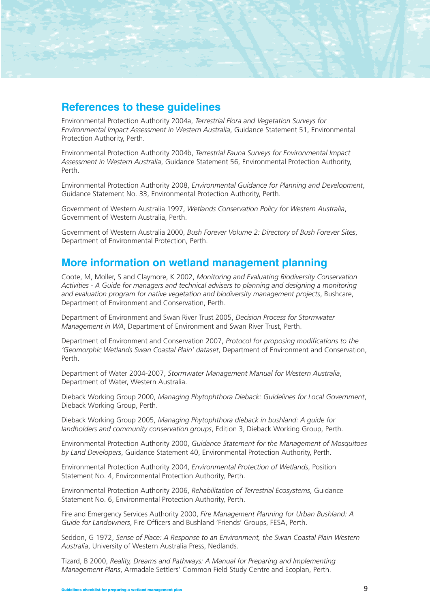

Environmental Protection Authority 2004a, *Terrestrial Flora and Vegetation Surveys for Environmental Impact Assessment in Western Australia*, Guidance Statement 51, Environmental Protection Authority, Perth.

Environmental Protection Authority 2004b, *Terrestrial Fauna Surveys for Environmental Impact Assessment in Western Australia*, Guidance Statement 56, Environmental Protection Authority, Perth.

Environmental Protection Authority 2008, *Environmental Guidance for Planning and Development*, Guidance Statement No. 33, Environmental Protection Authority, Perth.

Government of Western Australia 1997, *Wetlands Conservation Policy for Western Australia*, Government of Western Australia, Perth.

Government of Western Australia 2000, *Bush Forever Volume 2: Directory of Bush Forever Sites*, Department of Environmental Protection, Perth.

# **More information on wetland management planning**

Coote, M, Moller, S and Claymore, K 2002, *Monitoring and Evaluating Biodiversity Conservation Activities - A Guide for managers and technical advisers to planning and designing a monitoring and evaluation program for native vegetation and biodiversity management projects*, Bushcare, Department of Environment and Conservation, Perth.

Department of Environment and Swan River Trust 2005, *Decision Process for Stormwater Management in WA*, Department of Environment and Swan River Trust, Perth.

Department of Environment and Conservation 2007, *Protocol for proposing modifications to the 'Geomorphic Wetlands Swan Coastal Plain' dataset*, Department of Environment and Conservation, Perth.

Department of Water 2004-2007, *Stormwater Management Manual for Western Australia*, Department of Water, Western Australia.

Dieback Working Group 2000, *Managing Phytophthora Dieback: Guidelines for Local Government*, Dieback Working Group, Perth.

Dieback Working Group 2005, *Managing Phytophthora dieback in bushland: A guide for landholders and community conservation groups*, Edition 3, Dieback Working Group, Perth.

Environmental Protection Authority 2000, *Guidance Statement for the Management of Mosquitoes by Land Developers*, Guidance Statement 40, Environmental Protection Authority, Perth.

Environmental Protection Authority 2004, *Environmental Protection of Wetlands*, Position Statement No. 4, Environmental Protection Authority, Perth.

Environmental Protection Authority 2006, *Rehabilitation of Terrestrial Ecosystems*, Guidance Statement No. 6, Environmental Protection Authority, Perth.

Fire and Emergency Services Authority 2000, *Fire Management Planning for Urban Bushland: A Guide for Landowners*, Fire Officers and Bushland 'Friends' Groups, FESA, Perth.

Seddon, G 1972, *Sense of Place: A Response to an Environment, the Swan Coastal Plain Western Australia*, University of Western Australia Press, Nedlands.

Tizard, B 2000, *Reality, Dreams and Pathways: A Manual for Preparing and Implementing Management Plans*, Armadale Settlers' Common Field Study Centre and Ecoplan, Perth.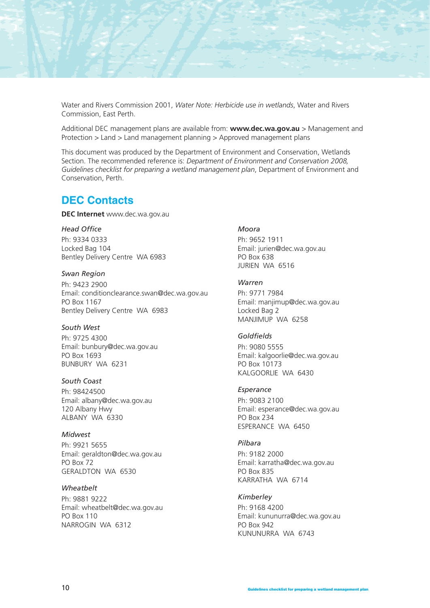Water and Rivers Commission 2001, *Water Note: Herbicide use in wetlands*, Water and Rivers Commission, East Perth.

Additional DEC management plans are available from: **www.dec.wa.gov.au** > Management and Protection > Land > Land management planning > Approved management plans

This document was produced by the Department of Environment and Conservation, Wetlands Section. The recommended reference is: *Department of Environment and Conservation 2008, Guidelines checklist for preparing a wetland management plan*, Department of Environment and Conservation, Perth.

# **DEC Contacts**

**DEC Internet** www.dec.wa.gov.au

#### *Head Office*

Ph: 9334 0333 Locked Bag 104 Bentley Delivery Centre WA 6983

#### *Swan Region*

Ph: 9423 2900 Email: conditionclearance.swan@dec.wa.gov.au PO Box 1167 Bentley Delivery Centre WA 6983

#### *South West*

Ph: 9725 4300 Email: bunbury@dec.wa.gov.au PO Box 1693 BUNBURY WA 6231

#### *South Coast*

Ph: 98424500 Email: albany@dec.wa.gov.au 120 Albany Hwy ALBANY WA 6330

### *Midwest*

Ph: 9921 5655 Email: geraldton@dec.wa.gov.au PO Box 72 GERALDTON WA 6530

#### *Wheatbelt*

Ph: 9881 9222 Email: wheatbelt@dec.wa.gov.au PO Box 110 NARROGIN WA 6312

# *Moora*

Ph: 9652 1911 Email: jurien@dec.wa.gov.au PO Box 638 JURIEN WA 6516

### *Warren*

Ph: 9771 7984 Email: manjimup@dec.wa.gov.au Locked Bag 2 MANJIMUP WA 6258

#### *Goldfields*

Ph: 9080 5555 Email: kalgoorlie@dec.wa.gov.au PO Box 10173 KALGOORLIE WA 6430

#### *Esperance*

Ph: 9083 2100 Email: esperance@dec.wa.gov.au PO Box 234 ESPERANCE WA 6450

#### *Pilbara*

Ph: 9182 2000 Email: karratha@dec.wa.gov.au PO Box 835 KARRATHA WA 6714

#### *Kimberley*

Ph: 9168 4200 Email: kununurra@dec.wa.gov.au PO Box 942 KUNUNURRA WA 6743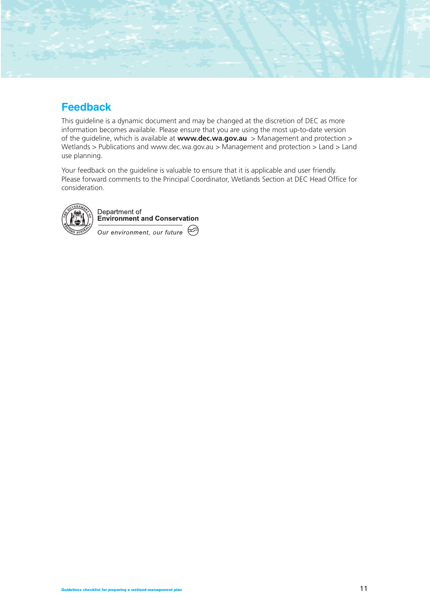# **Feedback**

This guideline is a dynamic document and may be changed at the discretion of DEC as more information becomes available. Please ensure that you are using the most up-to-date version of the guideline, which is available at **www.dec.wa.gov.au** > Management and protection > Wetlands > Publications and www.dec.wa.gov.au > Management and protection > Land > Land use planning.

Your feedback on the guideline is valuable to ensure that it is applicable and user friendly. Please forward comments to the Principal Coordinator, Wetlands Section at DEC Head Office for consideration.